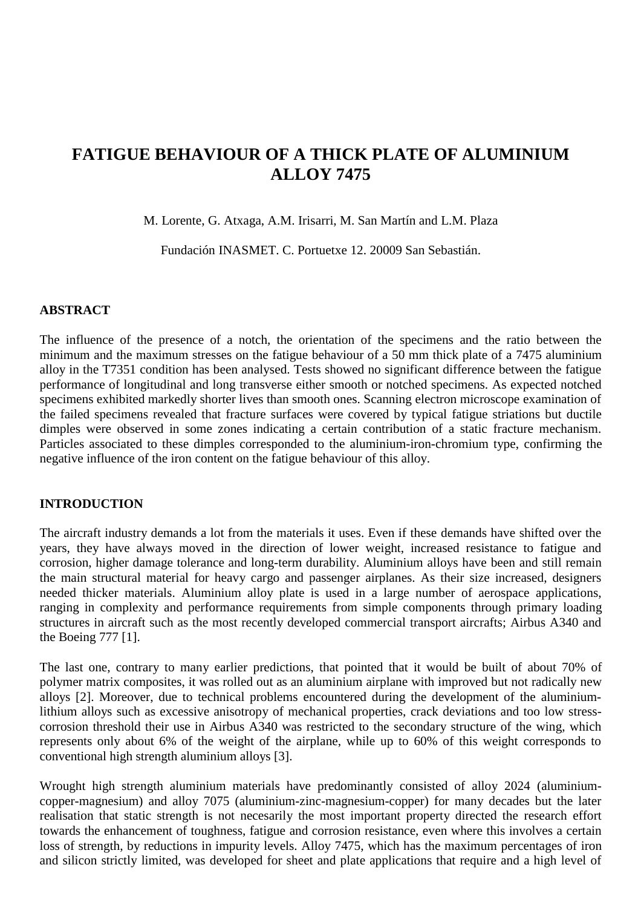# **FATIGUE BEHAVIOUR OF A THICK PLATE OF ALUMINIUM ALLOY 7475**

M. Lorente, G. Atxaga, A.M. Irisarri, M. San Martín and L.M. Plaza

Fundación INASMET. C. Portuetxe 12. 20009 San Sebastián.

### **ABSTRACT**

The influence of the presence of a notch, the orientation of the specimens and the ratio between the minimum and the maximum stresses on the fatigue behaviour of a 50 mm thick plate of a 7475 aluminium alloy in the T7351 condition has been analysed. Tests showed no significant difference between the fatigue performance of longitudinal and long transverse either smooth or notched specimens. As expected notched specimens exhibited markedly shorter lives than smooth ones. Scanning electron microscope examination of the failed specimens revealed that fracture surfaces were covered by typical fatigue striations but ductile dimples were observed in some zones indicating a certain contribution of a static fracture mechanism. Particles associated to these dimples corresponded to the aluminium-iron-chromium type, confirming the negative influence of the iron content on the fatigue behaviour of this alloy.

### **INTRODUCTION**

The aircraft industry demands a lot from the materials it uses. Even if these demands have shifted over the years, they have always moved in the direction of lower weight, increased resistance to fatigue and corrosion, higher damage tolerance and long-term durability. Aluminium alloys have been and still remain the main structural material for heavy cargo and passenger airplanes. As their size increased, designers needed thicker materials. Aluminium alloy plate is used in a large number of aerospace applications, ranging in complexity and performance requirements from simple components through primary loading structures in aircraft such as the most recently developed commercial transport aircrafts; Airbus A340 and the Boeing 777 [1].

The last one, contrary to many earlier predictions, that pointed that it would be built of about 70% of polymer matrix composites, it was rolled out as an aluminium airplane with improved but not radically new alloys [2]. Moreover, due to technical problems encountered during the development of the aluminiumlithium alloys such as excessive anisotropy of mechanical properties, crack deviations and too low stresscorrosion threshold their use in Airbus A340 was restricted to the secondary structure of the wing, which represents only about 6% of the weight of the airplane, while up to 60% of this weight corresponds to conventional high strength aluminium alloys [3].

Wrought high strength aluminium materials have predominantly consisted of alloy 2024 (aluminiumcopper-magnesium) and alloy 7075 (aluminium-zinc-magnesium-copper) for many decades but the later realisation that static strength is not necesarily the most important property directed the research effort towards the enhancement of toughness, fatigue and corrosion resistance, even where this involves a certain loss of strength, by reductions in impurity levels. Alloy 7475, which has the maximum percentages of iron and silicon strictly limited, was developed for sheet and plate applications that require and a high level of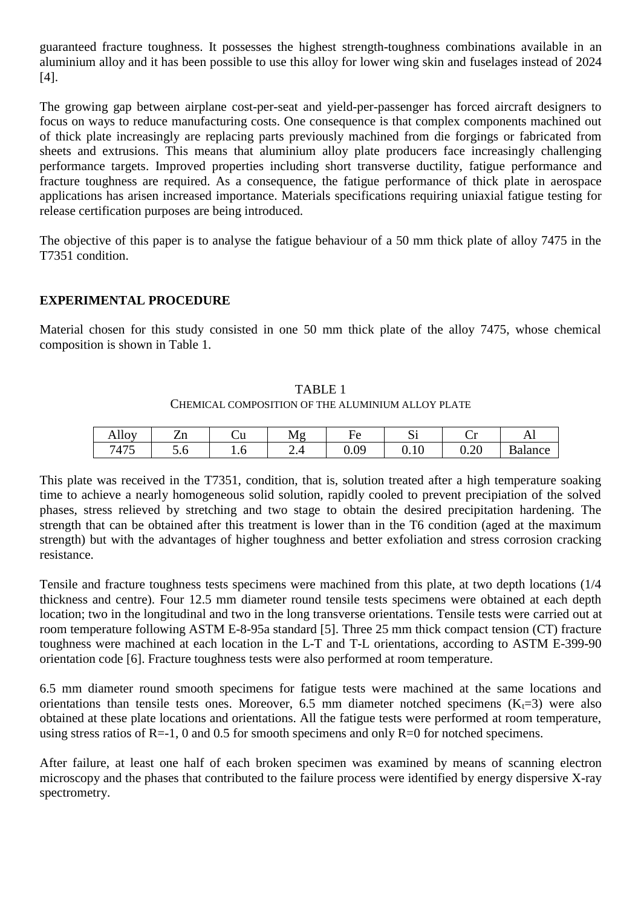guaranteed fracture toughness. It possesses the highest strength-toughness combinations available in an aluminium alloy and it has been possible to use this alloy for lower wing skin and fuselages instead of 2024 [4].

The growing gap between airplane cost-per-seat and yield-per-passenger has forced aircraft designers to focus on ways to reduce manufacturing costs. One consequence is that complex components machined out of thick plate increasingly are replacing parts previously machined from die forgings or fabricated from sheets and extrusions. This means that aluminium alloy plate producers face increasingly challenging performance targets. Improved properties including short transverse ductility, fatigue performance and fracture toughness are required. As a consequence, the fatigue performance of thick plate in aerospace applications has arisen increased importance. Materials specifications requiring uniaxial fatigue testing for release certification purposes are being introduced.

The objective of this paper is to analyse the fatigue behaviour of a 50 mm thick plate of alloy 7475 in the T7351 condition.

## **EXPERIMENTAL PROCEDURE**

Material chosen for this study consisted in one 50 mm thick plate of the alloy 7475, whose chemical composition is shown in Table 1.

### TABLE 1 CHEMICAL COMPOSITION OF THE ALUMINIUM ALLOY PLATE

| 11<br><b>Allov</b>                                                             | –<br>$\cdot$<br>ப | ∪u  | Мσ<br>11.5               | –<br>НΔ<br>╰ | ◡           | ັ                     | ΔI                              |
|--------------------------------------------------------------------------------|-------------------|-----|--------------------------|--------------|-------------|-----------------------|---------------------------------|
| $\overline{H}$ $\overline{H}$ $\overline{H}$<br>٠,<br>$\overline{\phantom{0}}$ | ◡.◡               | ⊥•∪ | $\overline{\phantom{a}}$ | 0.09         | $v \cdot v$ | . $\cap$<br>⌒<br>v.∠v | $\mathbf{r}$<br><b>B</b> alance |

This plate was received in the T7351, condition, that is, solution treated after a high temperature soaking time to achieve a nearly homogeneous solid solution, rapidly cooled to prevent precipiation of the solved phases, stress relieved by stretching and two stage to obtain the desired precipitation hardening. The strength that can be obtained after this treatment is lower than in the T6 condition (aged at the maximum strength) but with the advantages of higher toughness and better exfoliation and stress corrosion cracking resistance.

Tensile and fracture toughness tests specimens were machined from this plate, at two depth locations (1/4 thickness and centre). Four 12.5 mm diameter round tensile tests specimens were obtained at each depth location; two in the longitudinal and two in the long transverse orientations. Tensile tests were carried out at room temperature following ASTM E-8-95a standard [5]. Three 25 mm thick compact tension (CT) fracture toughness were machined at each location in the L-T and T-L orientations, according to ASTM E-399-90 orientation code [6]. Fracture toughness tests were also performed at room temperature.

6.5 mm diameter round smooth specimens for fatigue tests were machined at the same locations and orientations than tensile tests ones. Moreover, 6.5 mm diameter notched specimens  $(K_t=3)$  were also obtained at these plate locations and orientations. All the fatigue tests were performed at room temperature, using stress ratios of  $R=1$ , 0 and 0.5 for smooth specimens and only  $R=0$  for notched specimens.

After failure, at least one half of each broken specimen was examined by means of scanning electron microscopy and the phases that contributed to the failure process were identified by energy dispersive X-ray spectrometry.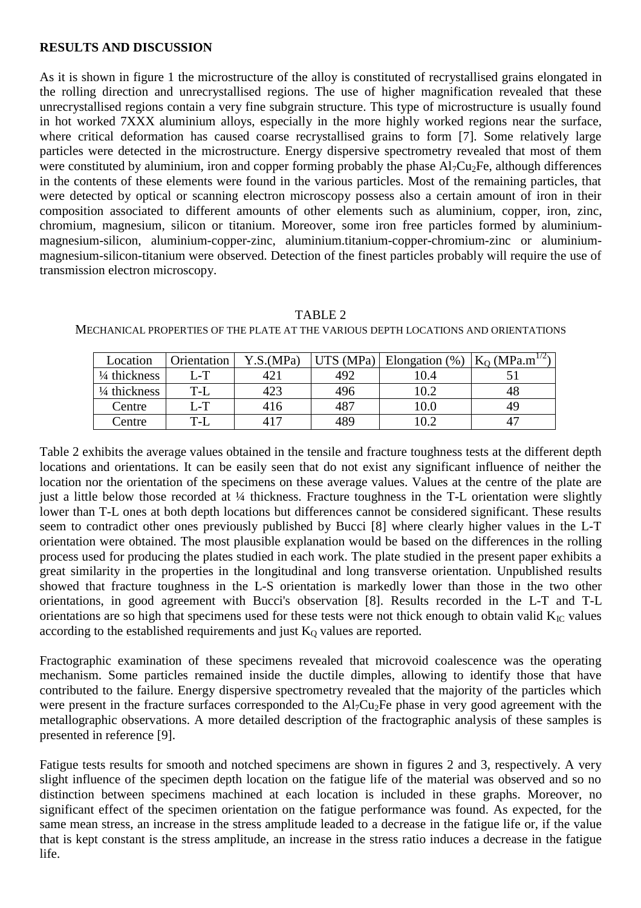### **RESULTS AND DISCUSSION**

As it is shown in figure 1 the microstructure of the alloy is constituted of recrystallised grains elongated in the rolling direction and unrecrystallised regions. The use of higher magnification revealed that these unrecrystallised regions contain a very fine subgrain structure. This type of microstructure is usually found in hot worked 7XXX aluminium alloys, especially in the more highly worked regions near the surface, where critical deformation has caused coarse recrystallised grains to form [7]. Some relatively large particles were detected in the microstructure. Energy dispersive spectrometry revealed that most of them were constituted by aluminium, iron and copper forming probably the phase  $Al_7Cu_2Fe$ , although differences in the contents of these elements were found in the various particles. Most of the remaining particles, that were detected by optical or scanning electron microscopy possess also a certain amount of iron in their composition associated to different amounts of other elements such as aluminium, copper, iron, zinc, chromium, magnesium, silicon or titanium. Moreover, some iron free particles formed by aluminiummagnesium-silicon, aluminium-copper-zinc, aluminium.titanium-copper-chromium-zinc or aluminiummagnesium-silicon-titanium were observed. Detection of the finest particles probably will require the use of transmission electron microscopy.

| Location                | Orientation | Y.S.(MPa) | UTS (MPa) | Elongation $(\%)$ | $K_O$ (MPa.m <sup>1/2)</sup> |
|-------------------------|-------------|-----------|-----------|-------------------|------------------------------|
| $\frac{1}{4}$ thickness | L-T         | 421       | 492       | 10.4              |                              |
| $\frac{1}{4}$ thickness | T-L         | 423       | 496       | 10.2              | 48                           |
| Centre                  | $L-T$       | 416       | 487       | 10.0              | 49                           |
| Centre                  | $T-L$       | 417       | 489       | 10.2              |                              |

TABLE 2 MECHANICAL PROPERTIES OF THE PLATE AT THE VARIOUS DEPTH LOCATIONS AND ORIENTATIONS

Table 2 exhibits the average values obtained in the tensile and fracture toughness tests at the different depth locations and orientations. It can be easily seen that do not exist any significant influence of neither the location nor the orientation of the specimens on these average values. Values at the centre of the plate are just a little below those recorded at ¼ thickness. Fracture toughness in the T-L orientation were slightly lower than T-L ones at both depth locations but differences cannot be considered significant. These results seem to contradict other ones previously published by Bucci [8] where clearly higher values in the L-T orientation were obtained. The most plausible explanation would be based on the differences in the rolling process used for producing the plates studied in each work. The plate studied in the present paper exhibits a great similarity in the properties in the longitudinal and long transverse orientation. Unpublished results showed that fracture toughness in the L-S orientation is markedly lower than those in the two other orientations, in good agreement with Bucci's observation [8]. Results recorded in the L-T and T-L orientations are so high that specimens used for these tests were not thick enough to obtain valid  $K_{\text{IC}}$  values according to the established requirements and just  $K_0$  values are reported.

Fractographic examination of these specimens revealed that microvoid coalescence was the operating mechanism. Some particles remained inside the ductile dimples, allowing to identify those that have contributed to the failure. Energy dispersive spectrometry revealed that the majority of the particles which were present in the fracture surfaces corresponded to the Al<sub>7</sub>Cu<sub>2</sub>Fe phase in very good agreement with the metallographic observations. A more detailed description of the fractographic analysis of these samples is presented in reference [9].

Fatigue tests results for smooth and notched specimens are shown in figures 2 and 3, respectively. A very slight influence of the specimen depth location on the fatigue life of the material was observed and so no distinction between specimens machined at each location is included in these graphs. Moreover, no significant effect of the specimen orientation on the fatigue performance was found. As expected, for the same mean stress, an increase in the stress amplitude leaded to a decrease in the fatigue life or, if the value that is kept constant is the stress amplitude, an increase in the stress ratio induces a decrease in the fatigue life.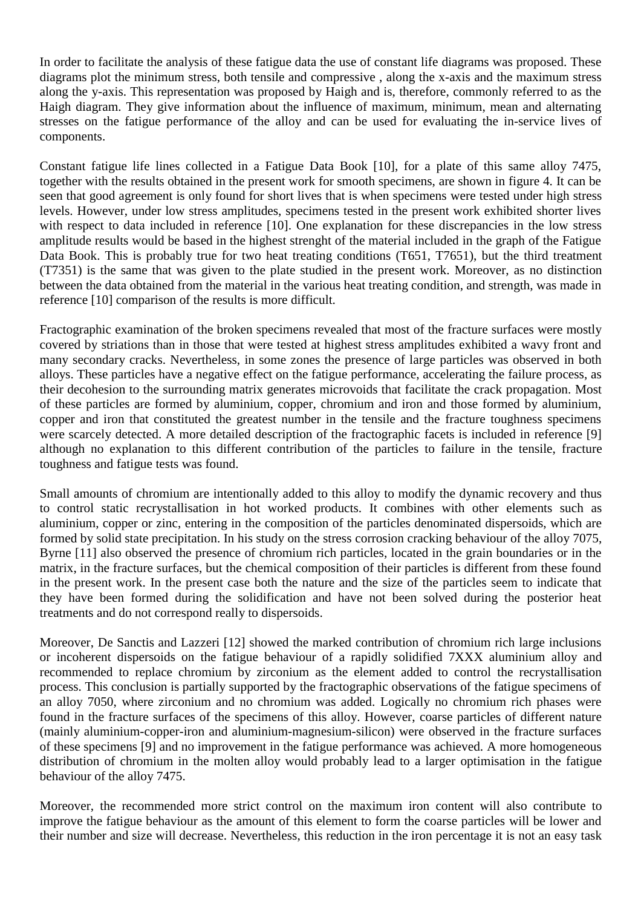In order to facilitate the analysis of these fatigue data the use of constant life diagrams was proposed. These diagrams plot the minimum stress, both tensile and compressive , along the x-axis and the maximum stress along the y-axis. This representation was proposed by Haigh and is, therefore, commonly referred to as the Haigh diagram. They give information about the influence of maximum, minimum, mean and alternating stresses on the fatigue performance of the alloy and can be used for evaluating the in-service lives of components.

Constant fatigue life lines collected in a Fatigue Data Book [10], for a plate of this same alloy 7475, together with the results obtained in the present work for smooth specimens, are shown in figure 4. It can be seen that good agreement is only found for short lives that is when specimens were tested under high stress levels. However, under low stress amplitudes, specimens tested in the present work exhibited shorter lives with respect to data included in reference [10]. One explanation for these discrepancies in the low stress amplitude results would be based in the highest strenght of the material included in the graph of the Fatigue Data Book. This is probably true for two heat treating conditions (T651, T7651), but the third treatment (T7351) is the same that was given to the plate studied in the present work. Moreover, as no distinction between the data obtained from the material in the various heat treating condition, and strength, was made in reference [10] comparison of the results is more difficult.

Fractographic examination of the broken specimens revealed that most of the fracture surfaces were mostly covered by striations than in those that were tested at highest stress amplitudes exhibited a wavy front and many secondary cracks. Nevertheless, in some zones the presence of large particles was observed in both alloys. These particles have a negative effect on the fatigue performance, accelerating the failure process, as their decohesion to the surrounding matrix generates microvoids that facilitate the crack propagation. Most of these particles are formed by aluminium, copper, chromium and iron and those formed by aluminium, copper and iron that constituted the greatest number in the tensile and the fracture toughness specimens were scarcely detected. A more detailed description of the fractographic facets is included in reference [9] although no explanation to this different contribution of the particles to failure in the tensile, fracture toughness and fatigue tests was found.

Small amounts of chromium are intentionally added to this alloy to modify the dynamic recovery and thus to control static recrystallisation in hot worked products. It combines with other elements such as aluminium, copper or zinc, entering in the composition of the particles denominated dispersoids, which are formed by solid state precipitation. In his study on the stress corrosion cracking behaviour of the alloy 7075, Byrne [11] also observed the presence of chromium rich particles, located in the grain boundaries or in the matrix, in the fracture surfaces, but the chemical composition of their particles is different from these found in the present work. In the present case both the nature and the size of the particles seem to indicate that they have been formed during the solidification and have not been solved during the posterior heat treatments and do not correspond really to dispersoids.

Moreover, De Sanctis and Lazzeri [12] showed the marked contribution of chromium rich large inclusions or incoherent dispersoids on the fatigue behaviour of a rapidly solidified 7XXX aluminium alloy and recommended to replace chromium by zirconium as the element added to control the recrystallisation process. This conclusion is partially supported by the fractographic observations of the fatigue specimens of an alloy 7050, where zirconium and no chromium was added. Logically no chromium rich phases were found in the fracture surfaces of the specimens of this alloy. However, coarse particles of different nature (mainly aluminium-copper-iron and aluminium-magnesium-silicon) were observed in the fracture surfaces of these specimens [9] and no improvement in the fatigue performance was achieved. A more homogeneous distribution of chromium in the molten alloy would probably lead to a larger optimisation in the fatigue behaviour of the alloy 7475.

Moreover, the recommended more strict control on the maximum iron content will also contribute to improve the fatigue behaviour as the amount of this element to form the coarse particles will be lower and their number and size will decrease. Nevertheless, this reduction in the iron percentage it is not an easy task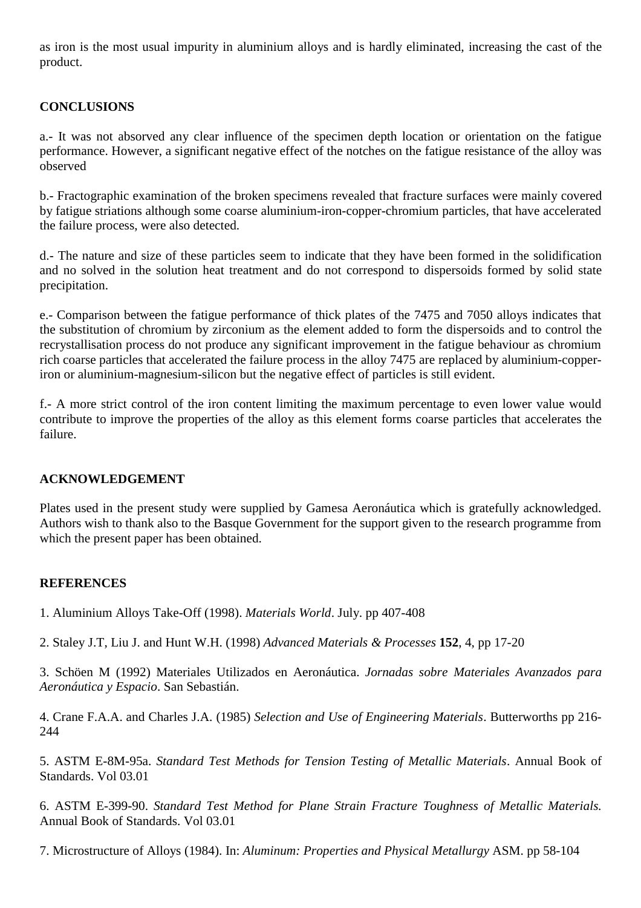as iron is the most usual impurity in aluminium alloys and is hardly eliminated, increasing the cast of the product.

## **CONCLUSIONS**

a.- It was not absorved any clear influence of the specimen depth location or orientation on the fatigue performance. However, a significant negative effect of the notches on the fatigue resistance of the alloy was observed

b.- Fractographic examination of the broken specimens revealed that fracture surfaces were mainly covered by fatigue striations although some coarse aluminium-iron-copper-chromium particles, that have accelerated the failure process, were also detected.

d.- The nature and size of these particles seem to indicate that they have been formed in the solidification and no solved in the solution heat treatment and do not correspond to dispersoids formed by solid state precipitation.

e.- Comparison between the fatigue performance of thick plates of the 7475 and 7050 alloys indicates that the substitution of chromium by zirconium as the element added to form the dispersoids and to control the recrystallisation process do not produce any significant improvement in the fatigue behaviour as chromium rich coarse particles that accelerated the failure process in the alloy 7475 are replaced by aluminium-copperiron or aluminium-magnesium-silicon but the negative effect of particles is still evident.

f.- A more strict control of the iron content limiting the maximum percentage to even lower value would contribute to improve the properties of the alloy as this element forms coarse particles that accelerates the failure.

## **ACKNOWLEDGEMENT**

Plates used in the present study were supplied by Gamesa Aeronáutica which is gratefully acknowledged. Authors wish to thank also to the Basque Government for the support given to the research programme from which the present paper has been obtained.

## **REFERENCES**

1. Aluminium Alloys Take-Off (1998). *Materials World*. July. pp 407-408

2. Staley J.T, Liu J. and Hunt W.H. (1998) *Advanced Materials & Processes* **152**, 4, pp 17-20

3. Schöen M (1992) Materiales Utilizados en Aeronáutica. *Jornadas sobre Materiales Avanzados para Aeronáutica y Espacio*. San Sebastián.

4. Crane F.A.A. and Charles J.A. (1985) *Selection and Use of Engineering Materials*. Butterworths pp 216- 244

5. ASTM E-8M-95a. *Standard Test Methods for Tension Testing of Metallic Materials*. Annual Book of Standards. Vol 03.01

6. ASTM E-399-90. *Standard Test Method for Plane Strain Fracture Toughness of Metallic Materials.* Annual Book of Standards. Vol 03.01

7. Microstructure of Alloys (1984). In: *Aluminum: Properties and Physical Metallurgy* ASM. pp 58-104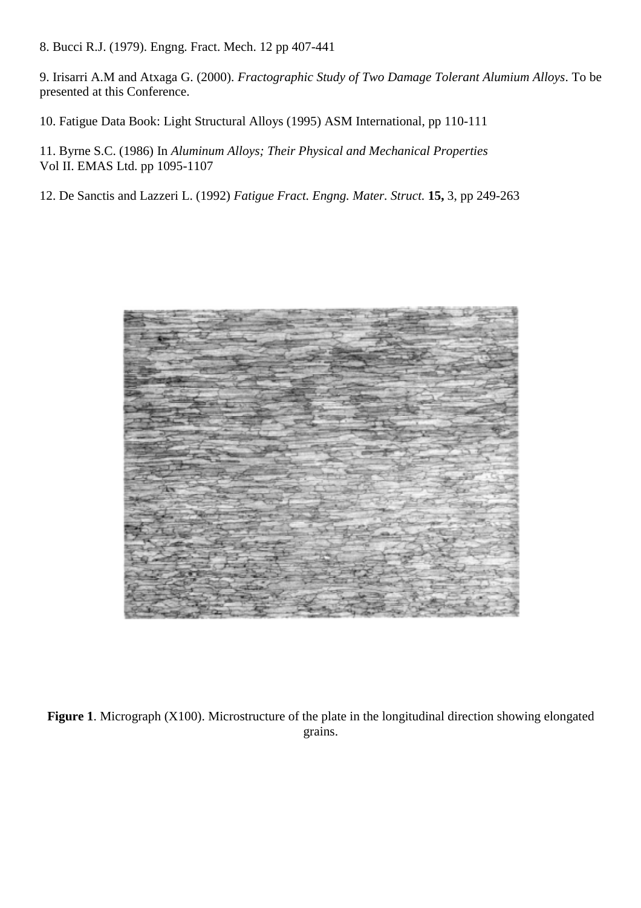8. Bucci R.J. (1979). Engng. Fract. Mech. 12 pp 407-441

9. Irisarri A.M and Atxaga G. (2000). *Fractographic Study of Two Damage Tolerant Alumium Alloys*. To be presented at this Conference.

10. Fatigue Data Book: Light Structural Alloys (1995) ASM International, pp 110-111

11. Byrne S.C. (1986) In *Aluminum Alloys; Their Physical and Mechanical Properties* Vol II. EMAS Ltd. pp 1095-1107

12. De Sanctis and Lazzeri L. (1992) *Fatigue Fract. Engng. Mater. Struct.* **15,** 3, pp 249-263



**Figure 1**. Micrograph (X100). Microstructure of the plate in the longitudinal direction showing elongated grains.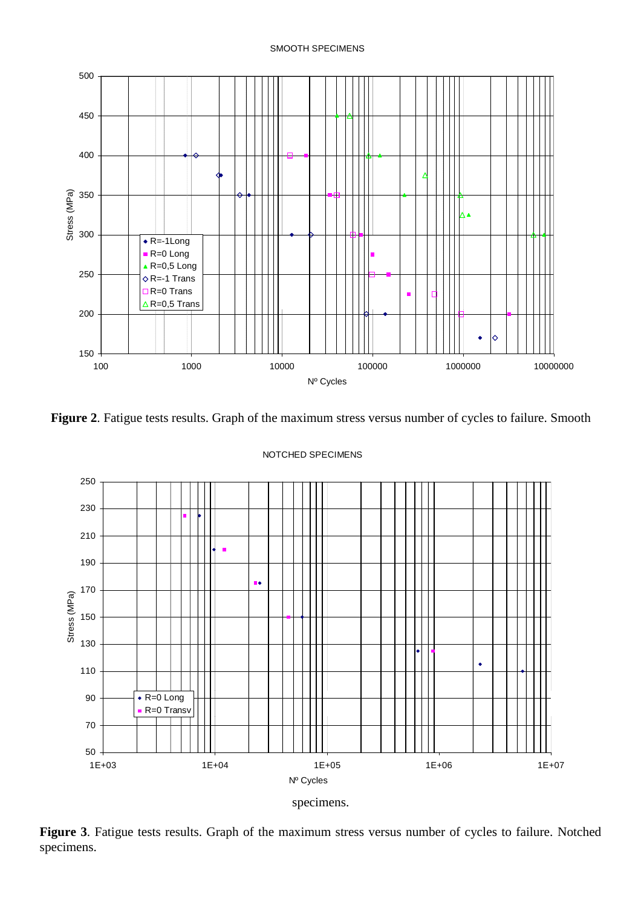

**Figure 2**. Fatigue tests results. Graph of the maximum stress versus number of cycles to failure. Smooth



#### NOTCHED SPECIMENS

**Figure 3**. Fatigue tests results. Graph of the maximum stress versus number of cycles to failure. Notched specimens.